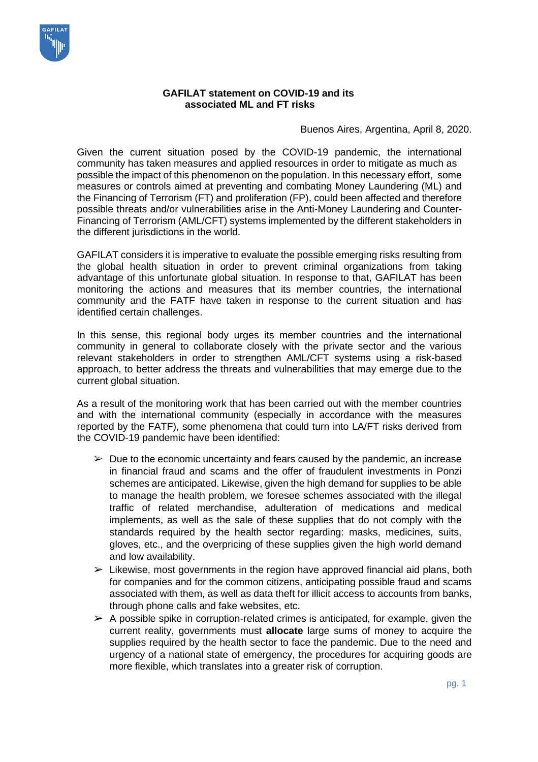

## **GAFILAT statement on COVID-19 and its associated ML and FT risks**

Buenos Aires, Argentina, April 8, 2020.

Given the current situation posed by the COVID-19 pandemic, the international community has taken measures and applied resources in order to mitigate as much as possible the impact of this phenomenon on the population. In this necessary effort, some measures or controls aimed at preventing and combating Money Laundering (ML) and the Financing of Terrorism (FT) and proliferation (FP), could been affected and therefore possible threats and/or vulnerabilities arise in the Anti-Money Laundering and Counter-Financing of Terrorism (AML/CFT) systems implemented by the different stakeholders in the different jurisdictions in the world.

GAFILAT considers it is imperative to evaluate the possible emerging risks resulting from the global health situation in order to prevent criminal organizations from taking advantage of this unfortunate global situation. In response to that, GAFILAT has been monitoring the actions and measures that its member countries, the international community and the FATF have taken in response to the current situation and has identified certain challenges.

In this sense, this regional body urges its member countries and the international community in general to collaborate closely with the private sector and the various relevant stakeholders in order to strengthen AML/CFT systems using a risk-based approach, to better address the threats and vulnerabilities that may emerge due to the current global situation.

As a result of the monitoring work that has been carried out with the member countries and with the international community (especially in accordance with the measures reported by the FATF), some phenomena that could turn into LA/FT risks derived from the COVID-19 pandemic have been identified:

- $\triangleright$  Due to the economic uncertainty and fears caused by the pandemic, an increase in financial fraud and scams and the offer of fraudulent investments in Ponzi schemes are anticipated. Likewise, given the high demand for supplies to be able to manage the health problem, we foresee schemes associated with the illegal traffic of related merchandise, adulteration of medications and medical implements, as well as the sale of these supplies that do not comply with the standards required by the health sector regarding: masks, medicines, suits, gloves, etc., and the overpricing of these supplies given the high world demand and low availability.
- $\triangleright$  Likewise, most governments in the region have approved financial aid plans, both for companies and for the common citizens, anticipating possible fraud and scams associated with them, as well as data theft for illicit access to accounts from banks, through phone calls and fake websites, etc.
- $\triangleright$  A possible spike in corruption-related crimes is anticipated, for example, given the current reality, governments must **allocate** large sums of money to acquire the supplies required by the health sector to face the pandemic. Due to the need and urgency of a national state of emergency, the procedures for acquiring goods are more flexible, which translates into a greater risk of corruption.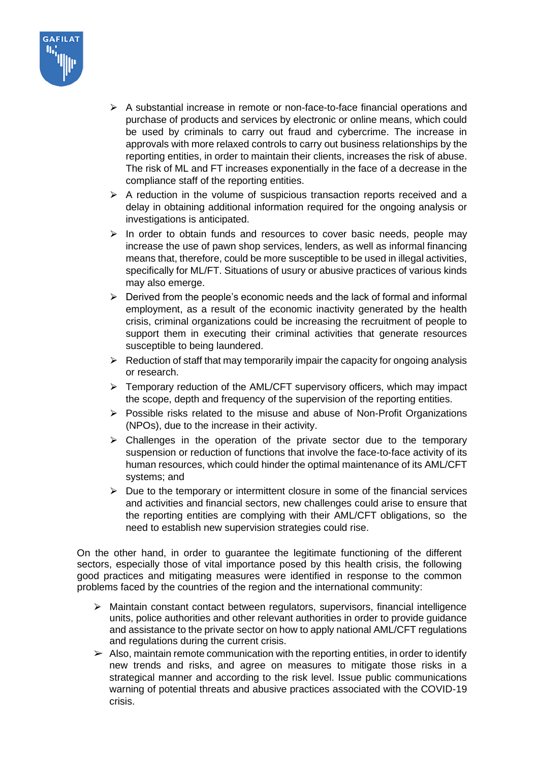

- $\triangleright$  A substantial increase in remote or non-face-to-face financial operations and purchase of products and services by electronic or online means, which could be used by criminals to carry out fraud and cybercrime. The increase in approvals with more relaxed controls to carry out business relationships by the reporting entities, in order to maintain their clients, increases the risk of abuse. The risk of ML and FT increases exponentially in the face of a decrease in the compliance staff of the reporting entities.
- $\triangleright$  A reduction in the volume of suspicious transaction reports received and a delay in obtaining additional information required for the ongoing analysis or investigations is anticipated.
- $\triangleright$  In order to obtain funds and resources to cover basic needs, people may increase the use of pawn shop services, lenders, as well as informal financing means that, therefore, could be more susceptible to be used in illegal activities, specifically for ML/FT. Situations of usury or abusive practices of various kinds may also emerge.
- $\triangleright$  Derived from the people's economic needs and the lack of formal and informal employment, as a result of the economic inactivity generated by the health crisis, criminal organizations could be increasing the recruitment of people to support them in executing their criminal activities that generate resources susceptible to being laundered.
- $\triangleright$  Reduction of staff that may temporarily impair the capacity for ongoing analysis or research.
- $\triangleright$  Temporary reduction of the AML/CFT supervisory officers, which may impact the scope, depth and frequency of the supervision of the reporting entities.
- $\triangleright$  Possible risks related to the misuse and abuse of Non-Profit Organizations (NPOs), due to the increase in their activity.
- $\triangleright$  Challenges in the operation of the private sector due to the temporary suspension or reduction of functions that involve the face-to-face activity of its human resources, which could hinder the optimal maintenance of its AML/CFT systems; and
- $\triangleright$  Due to the temporary or intermittent closure in some of the financial services and activities and financial sectors, new challenges could arise to ensure that the reporting entities are complying with their AML/CFT obligations, so the need to establish new supervision strategies could rise.

On the other hand, in order to guarantee the legitimate functioning of the different sectors, especially those of vital importance posed by this health crisis, the following good practices and mitigating measures were identified in response to the common problems faced by the countries of the region and the international community:

- $\triangleright$  Maintain constant contact between regulators, supervisors, financial intelligence units, police authorities and other relevant authorities in order to provide guidance and assistance to the private sector on how to apply national AML/CFT regulations and regulations during the current crisis.
- $\triangleright$  Also, maintain remote communication with the reporting entities, in order to identify new trends and risks, and agree on measures to mitigate those risks in a strategical manner and according to the risk level. Issue public communications warning of potential threats and abusive practices associated with the COVID-19 crisis.